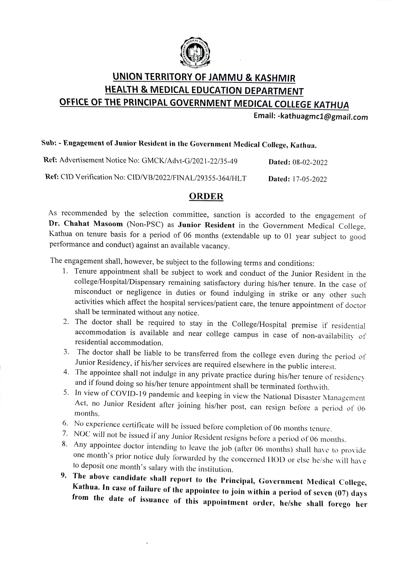

## UNION TERRITORY OF JAMMU & KASHMIR HEALTH & MEDICAL EDUCATION DEPARTMENT OFFICE OF THE PRINCIPAL GOVERNMENT MEDICAL COLLEGE KATHUA

Email: -kathuagmc1@gmail.com

## Sub: Engagement of Junior Resident in the Government Medical College, Kathua.

| Ref: Advertisement Notice No: GMCK/Advt-G/2021-22/35-49   | <b>Dated:</b> 08-02-2022 |
|-----------------------------------------------------------|--------------------------|
| Ref: CID Verification No: CID/VB/2022/FINAL/29355-364/HLT | <b>Dated:</b> 17-05-2022 |

## ORDER

As recommended by the selection committee, sanction is accorded to the engagement of Dr. Chahat Masoom (Non-PSC) as Junior Resident in the Government Medical College, Kathua on tenure basis for a period of 06 months (extendable up to 01 year subject to good performance and conduct) against an available vac

The engagement shall, however, be subject to the following terms and conditions:

- 1. Tenure appointment shall be subject to work and conduct of the Junior Resident in the college/Hospital/Dispensary remaining satisfactory during his/her tenure. In the case of misconduct or negligence in duties or found indulging in strike or any other such activities which affect the hospital services/patient care, the tenure appointment of doctor shall be terminated without any notice.
- 2. The doctor shall be required to stay in the College/Hospital premise if residential accommodation is available and near college campus in case of non-availability of residential accommodation.
- 3. The doctor shall be liable to be transferred from the college even during the period of Junior Residency, if his/her services are required elsewhere in the public interest.<br>4. The appointee shall not indulge in any private practice during his/her tenure of residency
- 4. and if found doing so his/her tenure appointment shall be terminated forthwith.<br>5. In view of COVID-19 pandemic and keeping in view the National Disaster Management
- Act, no Junior Resident after joining his/her post, can resign before a period of 06 months.
- 
- 6. No experience certificate will be issued before completion of 06 months tenure.<br>7. NOC will not be issued if any Junior Resident resigns before a period of 06 months.
- 8. Any appointee doctor intending to leave the job (after 06 months) shall have to provide one month's prior notice duly forwarded by the concerned HOD or else he/she will have to deposit one month's salary with the institution.
- 9. The above candidate shall report to the Principal, Government Medical College, Kathua. In case of failure of the appointee to join within a period of seven (07) days from the date of issuance of this appointment order, he/she shall forego her